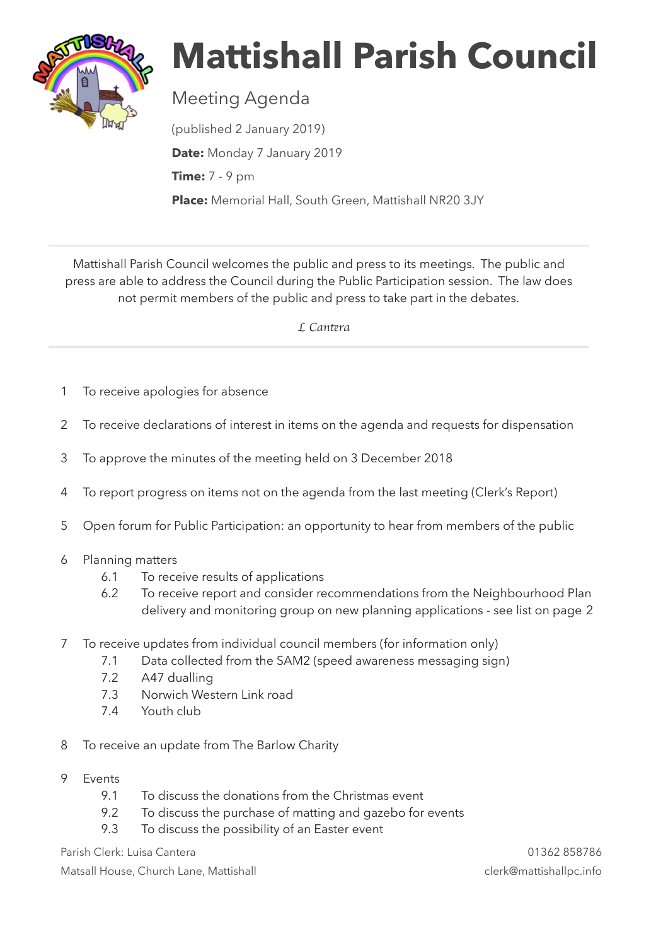

## **Mattishall Parish Council**

## Meeting Agenda

(published 2 January 2019) **Date:** Monday 7 January 2019 **Time:** 7 - 9 pm **Place:** Memorial Hall, South Green, Mattishall NR20 3JY

Mattishall Parish Council welcomes the public and press to its meetings. The public and press are able to address the Council during the Public Participation session. The law does not permit members of the public and press to take part in the debates.

 *L Can*t*ra* 

- 1 To receive apologies for absence
- 2 To receive declarations of interest in items on the agenda and requests for dispensation
- 3 To approve the minutes of the meeting held on 3 December 2018
- 4 To report progress on items not on the agenda from the last meeting (Clerk's Report)
- 5 Open forum for Public Participation: an opportunity to hear from members of the public
- 6 Planning matters
	- 6.1 To receive results of applications
	- 6.2 To receive report and consider recommendations from the Neighbourhood Plan delivery and monitoring group on new planning applications - see list on page 2
- 7 To receive updates from individual council members (for information only)
	- 7.1 Data collected from the SAM2 (speed awareness messaging sign)
	- 7.2 A47 dualling
	- 7.3 Norwich Western Link road
	- 7.4 Youth club
- 8 To receive an update from The Barlow Charity
- 9 Events
	- 9.1 To discuss the donations from the Christmas event
	- 9.2 To discuss the purchase of matting and gazebo for events
	- 9.3 To discuss the possibility of an Easter event

Parish Clerk: Luisa Cantera 01362 858786

Matsall House, Church Lane, Mattishall clerk@mattishallpc.info